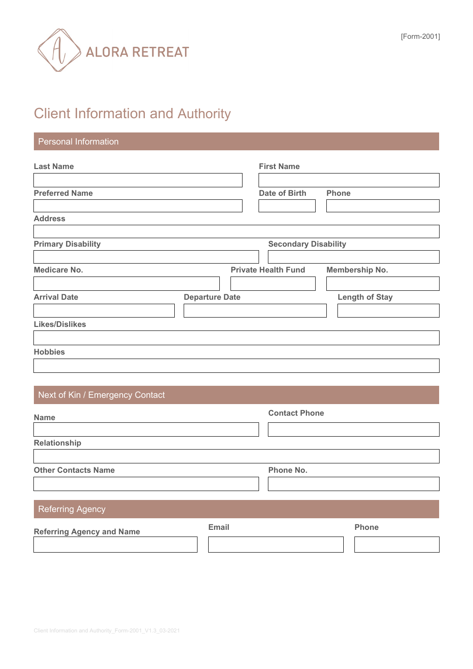

# Client Information and Authority

# Personal Information

| <b>Last Name</b>          |                             | <b>First Name</b>          |                       |
|---------------------------|-----------------------------|----------------------------|-----------------------|
| <b>Preferred Name</b>     |                             | <b>Date of Birth</b>       | <b>Phone</b>          |
| <b>Address</b>            |                             |                            |                       |
| <b>Primary Disability</b> | <b>Secondary Disability</b> |                            |                       |
| <b>Medicare No.</b>       |                             | <b>Private Health Fund</b> | Membership No.        |
| <b>Arrival Date</b>       | <b>Departure Date</b>       |                            | <b>Length of Stay</b> |
| <b>Likes/Dislikes</b>     |                             |                            |                       |
| <b>Hobbies</b>            |                             |                            |                       |

# Next of Kin / Emergency Contact

| <b>Name</b>                      |              | <b>Contact Phone</b> |              |
|----------------------------------|--------------|----------------------|--------------|
| Relationship                     |              |                      |              |
| <b>Other Contacts Name</b>       |              | Phone No.            |              |
| <b>Referring Agency</b>          |              |                      |              |
| <b>Referring Agency and Name</b> | <b>Email</b> |                      | <b>Phone</b> |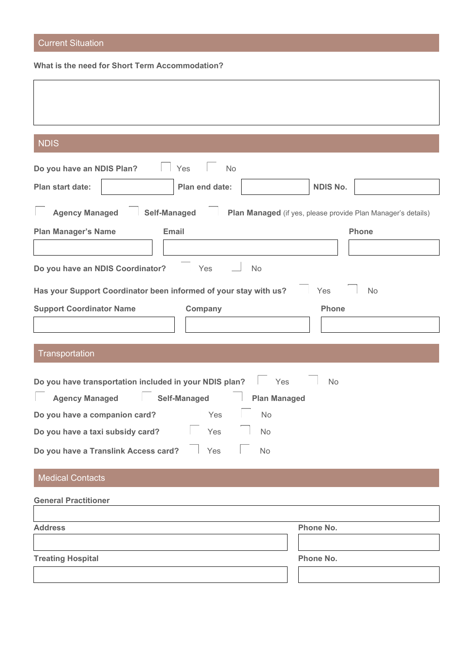# Current Situation

**What is the need for Short Term Accommodation?**

| <b>NDIS</b>                                                         |                                                              |
|---------------------------------------------------------------------|--------------------------------------------------------------|
| Do you have an NDIS Plan?<br>No<br>Yes                              |                                                              |
| Plan start date:<br>Plan end date:                                  | <b>NDIS No.</b>                                              |
| <b>Agency Managed</b><br><b>Self-Managed</b>                        | Plan Managed (if yes, please provide Plan Manager's details) |
| <b>Plan Manager's Name</b><br>Email                                 | <b>Phone</b>                                                 |
|                                                                     |                                                              |
| Do you have an NDIS Coordinator?<br>Yes<br>No                       |                                                              |
| Has your Support Coordinator been informed of your stay with us?    | <b>No</b><br>Yes                                             |
| <b>Support Coordinator Name</b><br>Company                          | Phone                                                        |
|                                                                     |                                                              |
| Transportation                                                      |                                                              |
| Do you have transportation included in your NDIS plan?<br>Yes       | No                                                           |
| <b>Agency Managed</b><br><b>Self-Managed</b><br><b>Plan Managed</b> |                                                              |
| Do you have a companion card?<br>No<br>Yes                          |                                                              |
| Do you have a taxi subsidy card?<br>Yes<br>No                       |                                                              |
| Do you have a Translink Access card?<br>Yes<br>No                   |                                                              |
| <b>Medical Contacts</b>                                             |                                                              |
| <b>General Practitioner</b>                                         |                                                              |
|                                                                     |                                                              |
|                                                                     |                                                              |
| <b>Address</b>                                                      | Phone No.                                                    |
| <b>Treating Hospital</b>                                            | Phone No.                                                    |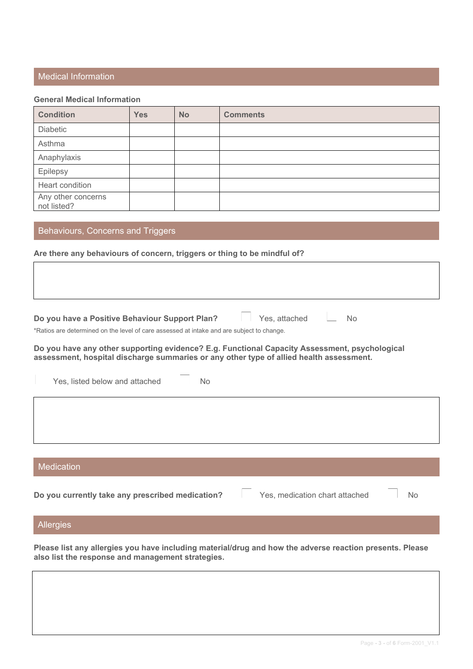### Medical Information

#### **General Medical Information**

| <b>Condition</b>                  | <b>Yes</b> | <b>No</b> | <b>Comments</b> |
|-----------------------------------|------------|-----------|-----------------|
| Diabetic                          |            |           |                 |
| Asthma                            |            |           |                 |
| Anaphylaxis                       |            |           |                 |
| Epilepsy                          |            |           |                 |
| Heart condition                   |            |           |                 |
| Any other concerns<br>not listed? |            |           |                 |

## Behaviours, Concerns and Triggers

#### **Are there any behaviours of concern, triggers or thing to be mindful of?**

**Do you have a Positive Behaviour Support Plan? Yes, attached No** 

\*Ratios are determined on the level of care assessed at intake and are subject to change.

**Do you have any other supporting evidence? E.g. Functional Capacity Assessment, psychological assessment, hospital discharge summaries or any other type of allied health assessment.**

Yes, listed below and attached <u>June</u> No

#### **Medication**

**Do you currently take any prescribed medication? □ Yes, medication chart attached □ No** 

#### Allergies

**Please list any allergies you have including material/drug and how the adverse reaction presents. Please also list the response and management strategies.**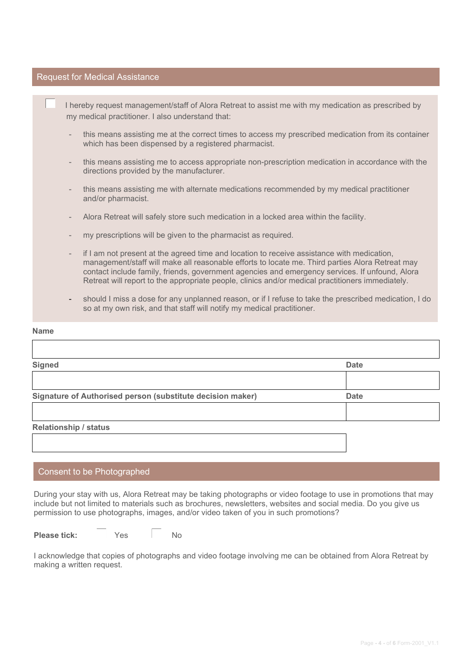#### Request for Medical Assistance

☐ I hereby request management/staff of Alora Retreat to assist me with my medication as prescribed by my medical practitioner. I also understand that:

- this means assisting me at the correct times to access my prescribed medication from its container which has been dispensed by a registered pharmacist.
- this means assisting me to access appropriate non-prescription medication in accordance with the directions provided by the manufacturer.
- this means assisting me with alternate medications recommended by my medical practitioner and/or pharmacist.
- Alora Retreat will safely store such medication in a locked area within the facility.
- my prescriptions will be given to the pharmacist as required.
- if I am not present at the agreed time and location to receive assistance with medication, management/staff will make all reasonable efforts to locate me. Third parties Alora Retreat may contact include family, friends, government agencies and emergency services. If unfound, Alora Retreat will report to the appropriate people, clinics and/or medical practitioners immediately.
- should I miss a dose for any unplanned reason, or if I refuse to take the prescribed medication, I do so at my own risk, and that staff will notify my medical practitioner.

#### **Name**

 $\overline{1}$ 

| <b>Signed</b>                                              | <b>Date</b> |
|------------------------------------------------------------|-------------|
|                                                            |             |
| Signature of Authorised person (substitute decision maker) | <b>Date</b> |
|                                                            |             |
| <b>Relationship / status</b>                               |             |
|                                                            |             |
|                                                            |             |

### Consent to be Photographed

During your stay with us, Alora Retreat may be taking photographs or video footage to use in promotions that may include but not limited to materials such as brochures, newsletters, websites and social media. Do you give us permission to use photographs, images, and/or video taken of you in such promotions?

**Please tick:** ☐Yes ☐ No

I acknowledge that copies of photographs and video footage involving me can be obtained from Alora Retreat by making a written request.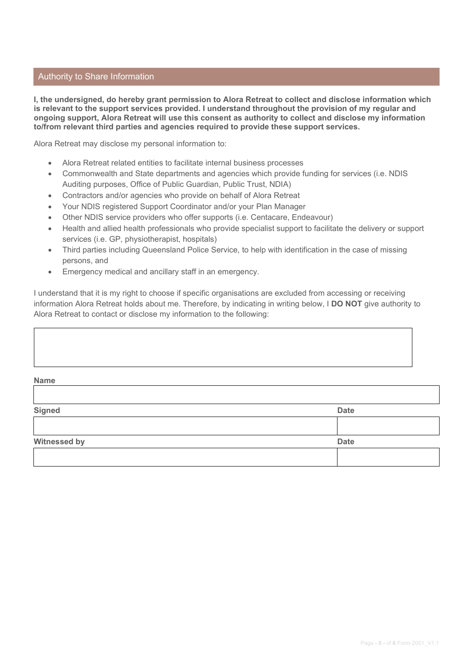### Authority to Share Information

**I, the undersigned, do hereby grant permission to Alora Retreat to collect and disclose information which is relevant to the support services provided. I understand throughout the provision of my regular and ongoing support, Alora Retreat will use this consent as authority to collect and disclose my information to/from relevant third parties and agencies required to provide these support services.**

Alora Retreat may disclose my personal information to:

- Alora Retreat related entities to facilitate internal business processes
- Commonwealth and State departments and agencies which provide funding for services (i.e. NDIS Auditing purposes, Office of Public Guardian, Public Trust, NDIA)
- Contractors and/or agencies who provide on behalf of Alora Retreat
- Your NDIS registered Support Coordinator and/or your Plan Manager
- Other NDIS service providers who offer supports (i.e. Centacare, Endeavour)
- Health and allied health professionals who provide specialist support to facilitate the delivery or support services (i.e. GP, physiotherapist, hospitals)
- Third parties including Queensland Police Service, to help with identification in the case of missing persons, and
- Emergency medical and ancillary staff in an emergency.

I understand that it is my right to choose if specific organisations are excluded from accessing or receiving information Alora Retreat holds about me. Therefore, by indicating in writing below, I **DO NOT** give authority to Alora Retreat to contact or disclose my information to the following:

| Name          |             |
|---------------|-------------|
| <b>Signed</b> | <b>Date</b> |
|               |             |
| Witnessed by  | <b>Date</b> |